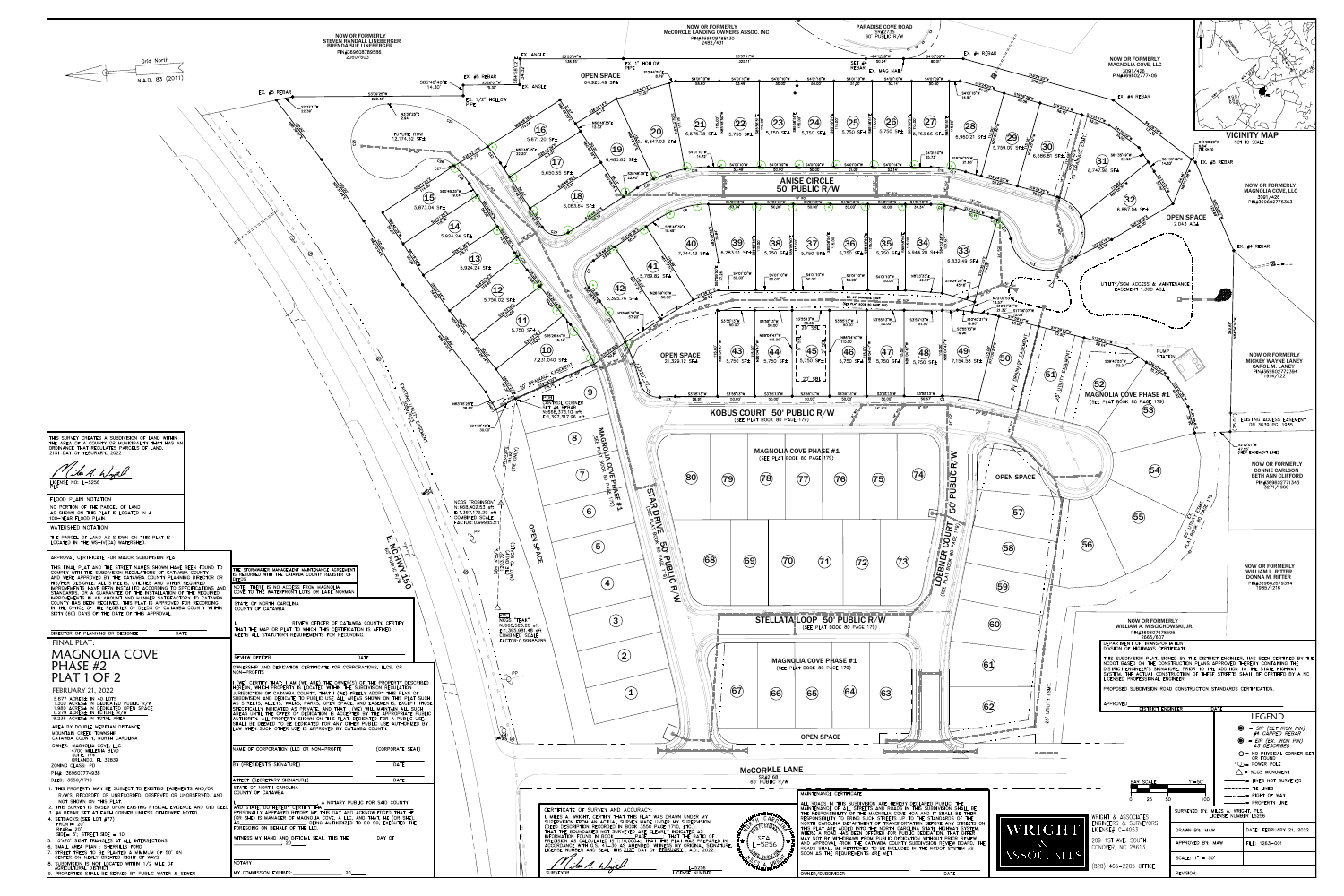

|                                                                                                                                                                                                                                                                  | <b>NOW OR FORMERLY</b><br><b>STEVEN RANDALL LINEBERGER</b><br><b>BRENDA SUE LINEBERGER</b><br>PIN#369608789586<br>2060/603                                                                                                                                                                          |                                                                |  |
|------------------------------------------------------------------------------------------------------------------------------------------------------------------------------------------------------------------------------------------------------------------|-----------------------------------------------------------------------------------------------------------------------------------------------------------------------------------------------------------------------------------------------------------------------------------------------------|----------------------------------------------------------------|--|
| Grid North<br>N.A.D. 83 (2011)                                                                                                                                                                                                                                   |                                                                                                                                                                                                                                                                                                     | EX. $#$<br>S85'46'40"E                                         |  |
|                                                                                                                                                                                                                                                                  | EX. #5 REBAR                                                                                                                                                                                                                                                                                        | 14.30'<br>S3'39'25"W<br>228.48<br>EX.                          |  |
|                                                                                                                                                                                                                                                                  | S7'37'11"E<br>22.39'                                                                                                                                                                                                                                                                                | N3'39'25"E<br>2.94'                                            |  |
|                                                                                                                                                                                                                                                                  |                                                                                                                                                                                                                                                                                                     | $c_{\mathcal{S}_{\mathcal{A}}}$<br>FUTURE ROW<br>12,174.52 SF± |  |
|                                                                                                                                                                                                                                                                  |                                                                                                                                                                                                                                                                                                     | C <sub>25</sub><br>18" RCP                                     |  |
|                                                                                                                                                                                                                                                                  |                                                                                                                                                                                                                                                                                                     | $c_{26}$<br>C27                                                |  |
|                                                                                                                                                                                                                                                                  |                                                                                                                                                                                                                                                                                                     | S60°48'35"W<br>19.04'                                          |  |
|                                                                                                                                                                                                                                                                  |                                                                                                                                                                                                                                                                                                     | $\bf (15)$<br>5,873.04 SF±                                     |  |
|                                                                                                                                                                                                                                                                  |                                                                                                                                                                                                                                                                                                     | $\overline{14}$                                                |  |
|                                                                                                                                                                                                                                                                  |                                                                                                                                                                                                                                                                                                     | 5,924.24 SF±                                                   |  |
|                                                                                                                                                                                                                                                                  | ⊚                                                                                                                                                                                                                                                                                                   |                                                                |  |
|                                                                                                                                                                                                                                                                  |                                                                                                                                                                                                                                                                                                     | 5,924.2                                                        |  |
|                                                                                                                                                                                                                                                                  |                                                                                                                                                                                                                                                                                                     |                                                                |  |
|                                                                                                                                                                                                                                                                  |                                                                                                                                                                                                                                                                                                     |                                                                |  |
|                                                                                                                                                                                                                                                                  |                                                                                                                                                                                                                                                                                                     |                                                                |  |
|                                                                                                                                                                                                                                                                  |                                                                                                                                                                                                                                                                                                     |                                                                |  |
|                                                                                                                                                                                                                                                                  |                                                                                                                                                                                                                                                                                                     |                                                                |  |
|                                                                                                                                                                                                                                                                  |                                                                                                                                                                                                                                                                                                     |                                                                |  |
|                                                                                                                                                                                                                                                                  |                                                                                                                                                                                                                                                                                                     | Eyloriko                                                       |  |
|                                                                                                                                                                                                                                                                  |                                                                                                                                                                                                                                                                                                     | N63'35'25"E<br>26.85'                                          |  |
| THIS SURVEY CREATES A SUBDIVISION OF LAND WITHIN                                                                                                                                                                                                                 |                                                                                                                                                                                                                                                                                                     | <b>SENERY</b>                                                  |  |
| THE AREA OF A COUNTY OR MUNICIPALITY THAT HAS AN<br>ORDINANCE THAT REGULATES PARCELS OF LAND.<br>21ST DAY OF FEBURARY, 2022                                                                                                                                      |                                                                                                                                                                                                                                                                                                     |                                                                |  |
| Le A. Wight                                                                                                                                                                                                                                                      |                                                                                                                                                                                                                                                                                                     |                                                                |  |
| LICENSE NO: L-5256<br>PLS.                                                                                                                                                                                                                                       |                                                                                                                                                                                                                                                                                                     |                                                                |  |
| FLOOD PLAIN NOTATION<br>NO PORTION OF THE PARCEL OF LAND                                                                                                                                                                                                         |                                                                                                                                                                                                                                                                                                     | <b>BERTH</b><br>NCGS "RC<br>N: 668,402                         |  |
| AS SHOWN ON THIS PLAT IS LOCATED IN A<br>100-YEAR FLOOD PLAIN.                                                                                                                                                                                                   |                                                                                                                                                                                                                                                                                                     | E: 1, 397, 17<br><b>COMBINED</b><br>FACTOR: 0                  |  |
| WATERSHED NOTATION<br>THE PARCEL OF LAND AS SHOWN ON THIS PLAT IS<br>LOCATED IN THE WS-IV(CA) WATERSHED.                                                                                                                                                         |                                                                                                                                                                                                                                                                                                     | $\mathcal{G}$<br>Ľu                                            |  |
| APPROVAL CERTIFICATE FOR MAJOR SUBDIVISION PLAT                                                                                                                                                                                                                  |                                                                                                                                                                                                                                                                                                     | 8%                                                             |  |
| THIS FINAL PLAT AND THE STREET NAMES SHOWN HAVE BEEN FOUND TO<br>COMPLY WITH THE SUBDIVISION REGULATIONS OF CATAWBA COUNTY                                                                                                                                       | THE STORMWATER MANAGEMENT MAINTENANCE AGREEMENT<br>IS RECORDED WITH THE CATAWBA COUNTY REGISTER OF                                                                                                                                                                                                  | <b>ANTISED</b><br>⊚                                            |  |
| AND WERE APPROVED BY THE CATAWBA COUNTY PLANNING DIRECTOR OR<br>HIS/HER DESIGNEE. ALL STREETS, UTILITIES AND OTHER REQUIRED<br>IMPROVEMENTS HAVE BEEN INSTALLED ACCORDING TO SPECIFICATIONS AND<br>STANDARDS, OR A GUARANTEE OF THE INSTALLATION OF THE REQUIRED | <b>DEEDS</b><br>NOTE: THERE IS NO ACCESS FROM MAGNOLIA<br>COVE TO THE WATERFRONT LOTS OR LAKE NORMAN                                                                                                                                                                                                | $\sum_{k=0}^{\infty} \frac{1}{k^2}$                            |  |
| IMPROVEMENTS IN AN AMOUNT AND MANNER SATISFACTORY TO CATAWBA<br>COUNTY HAS BEEN RECEIVED. THIS PLAT IS APPROVED FOR RECORDING<br>IN THE OFFICE OF THE REGISTER OF DEEDS OF CATAWBA COUNTY WITHIN                                                                 | STATE OF NORTH CAROLINA<br>COUNTY OF CATAWBA                                                                                                                                                                                                                                                        |                                                                |  |
| SIXTY (60) DAYS OF THE DATE OF THIS APPROVAL.                                                                                                                                                                                                                    |                                                                                                                                                                                                                                                                                                     | , REVIEW OFFICER OF CATAWBA COUNTY, CERTIFY                    |  |
| DIRECTOR OF PLANNING OR DESIGNEE<br>DATE<br><b>FINAL PLAT:</b>                                                                                                                                                                                                   | THAT THE MAP OR PLAT TO WHICH THIS CERTIFICATION IS AFFIXED<br>MEETS ALL STATUTORY REQUIREMENTS FOR RECORDING.                                                                                                                                                                                      |                                                                |  |
| <b>MAGNOLIA COVE</b>                                                                                                                                                                                                                                             | REVIEW OFFICER                                                                                                                                                                                                                                                                                      | DATE                                                           |  |
| PHASE #2<br>PLAT 1 OF 2                                                                                                                                                                                                                                          | OWNERSHIP AND DEDICATION CERTIFICATE FOR CORPORATIONS, LLCS, OR<br>NON-PROFITS                                                                                                                                                                                                                      |                                                                |  |
| <b>FEBRUARY 21, 2022</b>                                                                                                                                                                                                                                         | (WE) CERTIFY THAT; I AM (WE ARE) THE OWNER(S) OF THE PROPERTY DESCRIBED<br>HÈREÓN, WHICH PROPERTY IS LOCATÉD WITHIN THE SUBDIVISION REGULATION<br>JURISDICTION OF CATAWBA COUNTY, THAT I (WE) FREELY ADOPT THIS PLAN OF<br>SUBDIVISION AND DEDICATE TO PUBLIC USE ALL AREAS SHOWN ON THIS PLAT SUCH |                                                                |  |
| 5.677 ACRES± IN 40 LOTS<br>1.300 ACRES± IN DEDICATED PUBLIC R/W<br>1.980 ACRES± IN DEDICATED OPEN SPACE<br>0.279 ACRES± IN FUTURE R/W                                                                                                                            | AS STREETS, ALLEYS, WALKS, PARKS, OPEN SPACE, AND EASEMENTS, EXCEPT THOSE<br>SPECIFICALLY INDICATED AS PRIVATE, AND THAT I (WE) WILL MAINTAIN ALL SUCH<br>AREAS UNTIL THE OFFER OF DEDICATION IS ACCEPTED BY THE APPROPRIATE PUBLIC                                                                 |                                                                |  |
| 9.236 ACRES± IN TOTAL AREA<br>AREA BY DOUBLE MERIDIAN DISTANCE<br>MOUNTAIN CREEK TOWNSHIP                                                                                                                                                                        | AUTHORITY. ALL PROPERTY SHOWN ON THIS PLAT, DEDICATED FOR A PUBLIC USE,<br>SHALL BE DEEMED TO BE DEDICATED FOR ANY OTHER PUBLIC USE AUTHORIZED BY<br>LAW WHEN SUCH OTHER USE IS APPROVED BY CATAWBA COUNTY.                                                                                         |                                                                |  |
| CATAWBA COUNTY, NORTH CAROLINA<br>OWNER: MAGNOLIA COVE, LLC                                                                                                                                                                                                      | NAME OF CORPORATION (LLC OR NON-PROFIT)                                                                                                                                                                                                                                                             | (CORPORATE SEAL)                                               |  |
| 4700 MILLENIA BLVD<br>SUITE 174<br>ORLANDO, FL 32839<br>ZONING CLASS: PD                                                                                                                                                                                         | BY (PRESIDENT'S SIGNATURE)                                                                                                                                                                                                                                                                          | <b>DATE</b>                                                    |  |
| PIN#: 369607774938<br>DEED: 3550/1710                                                                                                                                                                                                                            | ATTEST (SECRETARY SIGNATURE)                                                                                                                                                                                                                                                                        | <b>DATE</b>                                                    |  |
| 1. THIS PROPERTY MAY BE SUBJECT TO EXISTING EASEMENTS AND/OR<br>R/W'S, RECORDED OR UNRECORDED, OBSERVED OR UNOBSERVED, AND<br>NOT SHOWN ON THIS PLAT.                                                                                                            | STATE OF NORTH CAROLINA<br>COUNTY OF CATAWBA                                                                                                                                                                                                                                                        |                                                                |  |
| 2. THIS SURVEY IS BASED UPON EXISTING PYSICAL EVIDENCE AND OLD DEED<br>3. #4 REBAR SET AT EACH CORNER UNLESS OTHERWISE NOTED<br>4. SETBACKS: (SEE LOT $#77$ )                                                                                                    | AND STATE, DO HEREBY CERTIFY THAT<br>PERSONALLY APPEARED BEFORE ME THIS DAY AND ACKNOWLEDGED THAT HE<br>(OR SHE) IS MANAGER OF MAGNOLIA COVE, A LLC, AND THAT, HE (OR SHE),                                                                                                                         | A NOTARY PUBLIC FOR SAID COUNTY                                |  |
| FRONT= 20'<br>$REAR = 20'$<br>$SIDE = 5'$ ; STREET SIDE = 10'                                                                                                                                                                                                    | FOREGOING ON BEHALF OF THE LLC.                                                                                                                                                                                                                                                                     |                                                                |  |
| 5. 10'x70' SIGHT TRIANGLES AT ALL INTERSECTIONS.<br>6. SMALL AREA PLAN : SHERRILLS FORD<br>7. STREET TREES TO BE PLANTED A MIMIMUM OF 50' ON                                                                                                                     | ___ 20______                                                                                                                                                                                                                                                                                        |                                                                |  |
| CENTER ON NEWLY CREATED RIGHT OF WAYS<br>8. SUBDIVISION IS NOT LOCATED WITHIN 1/2 MILE OF<br>AGRICULTURAL DISTRICT                                                                                                                                               | <b>NOTARY</b>                                                                                                                                                                                                                                                                                       |                                                                |  |
| 9. PROPERTIES SHALL BE SERVED BY PUBLIC WATER & SEWER                                                                                                                                                                                                            | MY COMMISSION EXPIRES: ______                                                                                                                                                                                                                                                                       | 20                                                             |  |